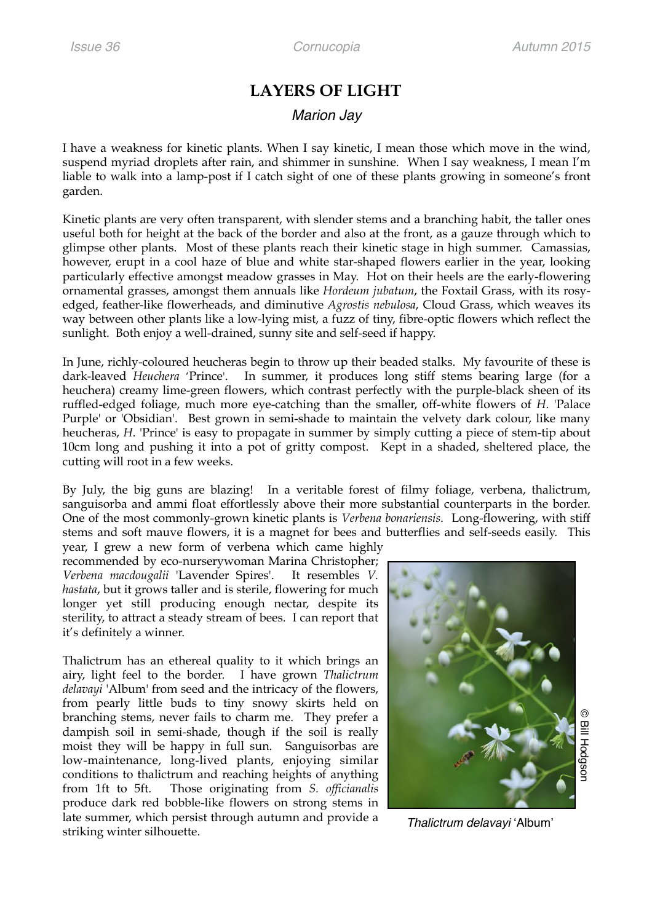## **LAYERS OF LIGHT**

## *Marion Jay*

I have a weakness for kinetic plants. When I say kinetic, I mean those which move in the wind, suspend myriad droplets after rain, and shimmer in sunshine. When I say weakness, I mean I'm liable to walk into a lamp-post if I catch sight of one of these plants growing in someone's front garden.

Kinetic plants are very often transparent, with slender stems and a branching habit, the taller ones useful both for height at the back of the border and also at the front, as a gauze through which to glimpse other plants. Most of these plants reach their kinetic stage in high summer. Camassias, however, erupt in a cool haze of blue and white star-shaped flowers earlier in the year, looking particularly effective amongst meadow grasses in May. Hot on their heels are the early-flowering ornamental grasses, amongst them annuals like *Hordeum jubatum*, the Foxtail Grass, with its rosyedged, feather-like flowerheads, and diminutive *Agrostis nebulosa*, Cloud Grass, which weaves its way between other plants like a low-lying mist, a fuzz of tiny, fibre-optic flowers which reflect the sunlight. Both enjoy a well-drained, sunny site and self-seed if happy.

In June, richly-coloured heucheras begin to throw up their beaded stalks. My favourite of these is dark-leaved *Heuchera* 'Prince'. In summer, it produces long stiff stems bearing large (for a heuchera) creamy lime-green flowers, which contrast perfectly with the purple-black sheen of its ruffled-edged foliage, much more eye-catching than the smaller, off-white flowers of *H*. 'Palace Purple' or 'Obsidian'. Best grown in semi-shade to maintain the velvety dark colour, like many heucheras, *H*. 'Prince' is easy to propagate in summer by simply cutting a piece of stem-tip about 10cm long and pushing it into a pot of gritty compost. Kept in a shaded, sheltered place, the cutting will root in a few weeks.

By July, the big guns are blazing! In a veritable forest of filmy foliage, verbena, thalictrum, sanguisorba and ammi float effortlessly above their more substantial counterparts in the border. One of the most commonly-grown kinetic plants is *Verbena bonariensis*. Long-flowering, with stiff stems and soft mauve flowers, it is a magnet for bees and butterflies and self-seeds easily. This year, I grew a new form of verbena which came highly

recommended by eco-nurserywoman Marina Christopher; *Verbena macdougalii* 'Lavender Spires'. It resembles *V. hastata*, but it grows taller and is sterile, flowering for much longer yet still producing enough nectar, despite its sterility, to attract a steady stream of bees. I can report that it's definitely a winner.

Thalictrum has an ethereal quality to it which brings an airy, light feel to the border. I have grown *Thalictrum delavayi* 'Album' from seed and the intricacy of the flowers, from pearly little buds to tiny snowy skirts held on branching stems, never fails to charm me. They prefer a dampish soil in semi-shade, though if the soil is really moist they will be happy in full sun. Sanguisorbas are low-maintenance, long-lived plants, enjoying similar conditions to thalictrum and reaching heights of anything from 1ft to 5ft. Those originating from *S. officianalis*  produce dark red bobble-like flowers on strong stems in late summer, which persist through autumn and provide a striking winter silhouette. *Thalictrum delavayi* 'Album'